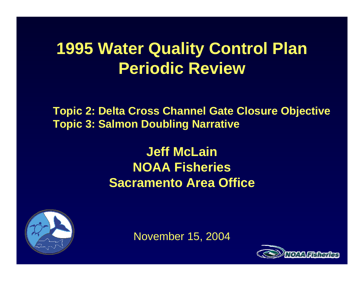# **1995 Water Quality Control Plan Periodic Review**

**Topic 2: Delta Cross Channel Gate Closure Objective Topic 3: Salmon Doubling Narrative**

> **Jeff McLainNOAA Fisheries Sacramento Area Office**



November 15, 2004

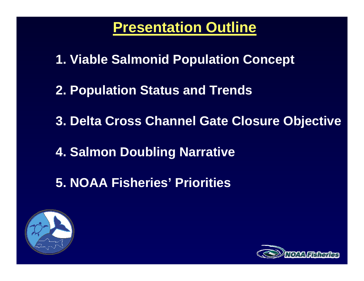**Presentation Outline**

**1. Viable Salmonid Population Concept**

- **2. Population Status and Trends**
- **3. Delta Cross Channel Gate Closure Objective**
- **4. Salmon Doubling Narrative**
- **5. NOAA Fisheries' Priorities**



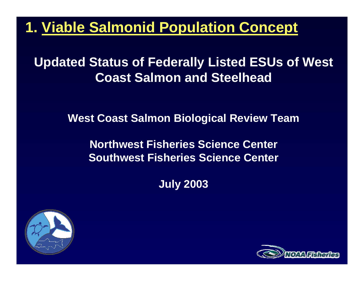**Updated Status of Federally Listed ESUs of West Coast Salmon and Steelhead**

**West Coast Salmon Biological Review Team**

**Northwest Fisheries Science Center Southwest Fisheries Science Center**

**July 2003**



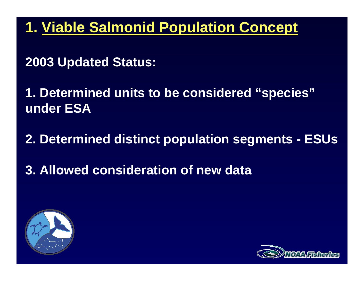**2003 Updated Status:** 

**1. Determined units to be considered "species" under ESA**

**2. Determined distinct population segments - ESUs**

**3. Allowed consideration of new data**



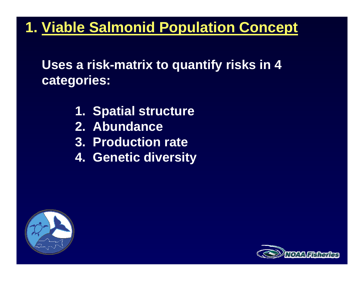**Uses a risk-matrix to quantify risks in 4 categories:** 

- **1. Spatial structure**
- **2. Abundance**
- **3. Production rate**
- **4. Genetic diversity**



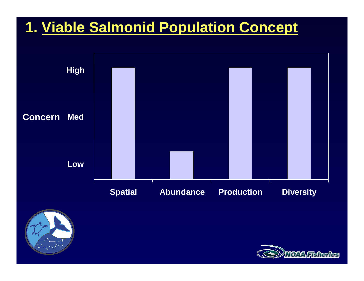



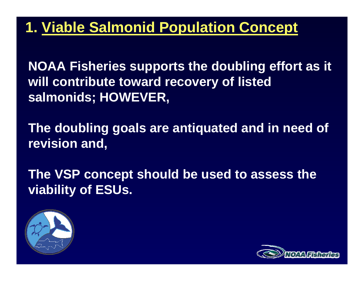**NOAA Fisheries supports the doubling effort as it will contribute toward recovery of listed salmonids; HOWEVER,**

**The doubling goals are antiquated and in need of revision and,**

**The VSP concept should be used to assess the viability of ESUs.**



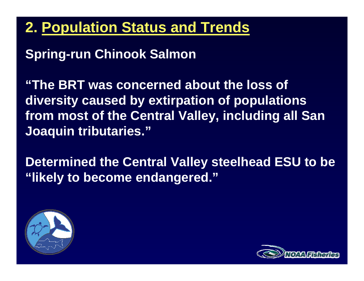# **2. Population Status and Trends**

### **Spring-run Chinook Salmon**

**"The BRT was concerned about the loss of diversity caused by extirpation of populations from most of the Central Valley, including all San Joaquin tributaries."**

**Determined the Central Valley steelhead ESU to be "likely to become endangered."**



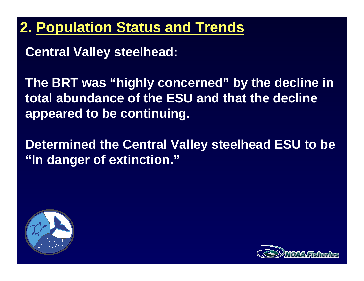## **2. Population Status and Trends**

**Central Valley steelhead:**

**The BRT was "highly concerned" by the decline in total abundance of the ESU and that the decline appeared to be continuing.**

**Determined the Central Valley steelhead ESU to be "In danger of extinction."**



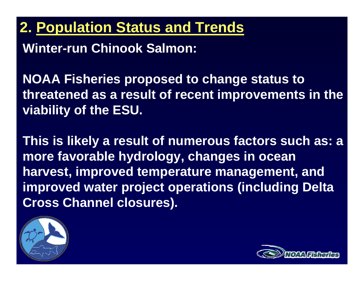**2. Population Status and Trends**

**Winter-run Chinook Salmon:**

**NOAA Fisheries proposed to change status to threatened as a result of recent improvements in the viability of the ESU.**

**This is likely a result of numerous factors such as: a more favorable hydrology, changes in ocean harvest, improved temperature management, and improved water project operations (including Delta Cross Channel closures).**



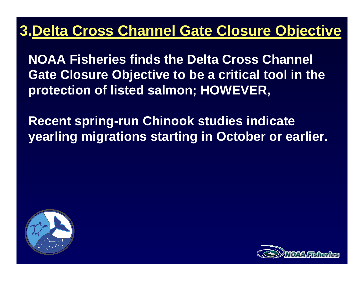**NOAA Fisheries finds the Delta Cross Channel Gate Closure Objective to be a critical tool in the protection of listed salmon; HOWEVER,**

**Recent spring-run Chinook studies indicate yearling migrations starting in October or earlier.**



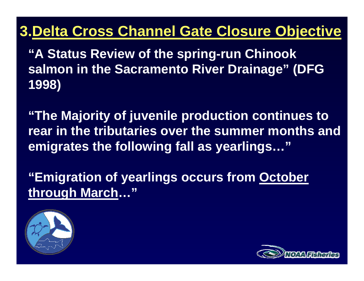**"A Status Review of the spring-run Chinook salmon in the Sacramento River Drainage" (DFG 1998)**

**"The Majority of juvenile production continues to rear in the tributaries over the summer months and emigrates the following fall as yearlings…"**

**"Emigration of yearlings occurs from October through March…"**



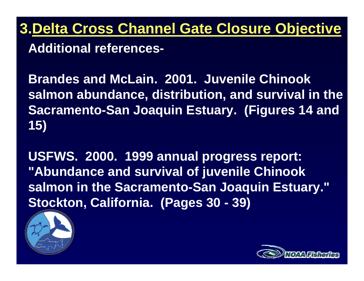**Additional references-**

**Brandes and McLain. 2001. Juvenile Chinook salmon abundance, distribution, and survival in the Sacramento-San Joaquin Estuary. (Figures 14 and 15)**

**USFWS. 2000. 1999 annual progress report: "Abundance and survival of juvenile Chinook salmon in the Sacramento-San Joaquin Estuary." Stockton, California. (Pages 30 - 39)**



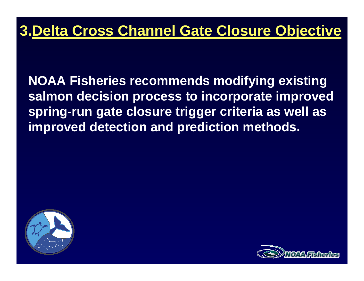**NOAA Fisheries recommends modifying existing salmon decision process to incorporate improved spring-run gate closure trigger criteria as well as improved detection and prediction methods.**



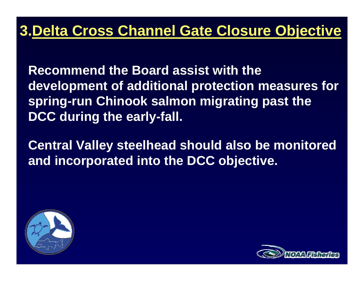**Recommend the Board assist with the development of additional protection measures for spring-run Chinook salmon migrating past the DCC during the early-fall.**

**Central Valley steelhead should also be monitored and incorporated into the DCC objective.**



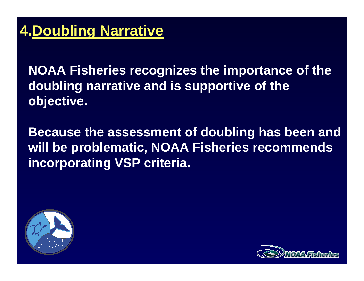**NOAA Fisheries recognizes the importance of the doubling narrative and is supportive of the objective.**

**Because the assessment of doubling has been and will be problematic, NOAA Fisheries recommends incorporating VSP criteria.** 



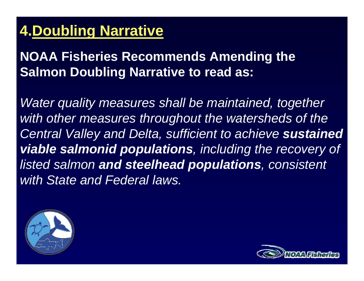# **4.Doubling Narrative**

#### **NOAA Fisheries Recommends Amending the Salmon Doubling Narrative to read as:**

*Water quality measures shall be maintained, together with other measures throughout the watersheds of the*  **Central Valley and Delta, sufficient to achieve sustained** *viable salmonid populations, including the recovery of listed salmon and steelhead populations, consistent with State and Federal laws.*



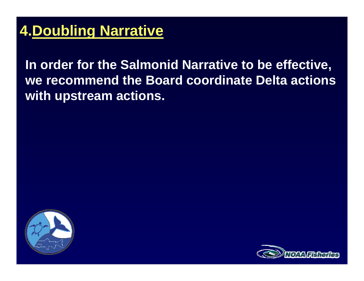## **4.Doubling Narrative**

**In order for the Salmonid Narrative to be effective, we recommend the Board coordinate Delta actions with upstream actions.**